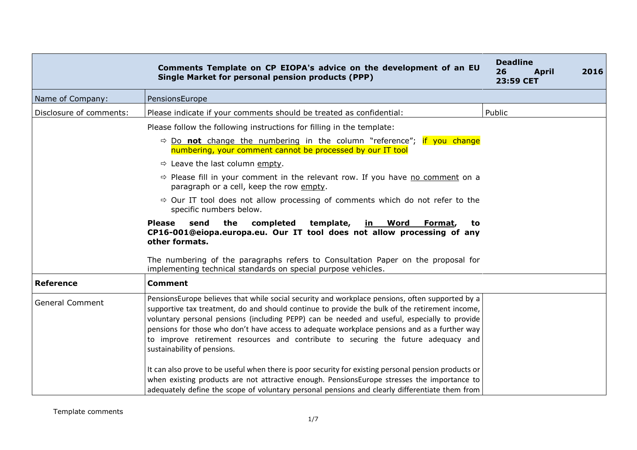|                         | Comments Template on CP EIOPA's advice on the development of an EU<br>Single Market for personal pension products (PPP)                                                                                                                                                                                                                                                                                                                                                                                                | <b>Deadline</b><br>26<br><b>April</b><br>23:59 CET | 2016 |
|-------------------------|------------------------------------------------------------------------------------------------------------------------------------------------------------------------------------------------------------------------------------------------------------------------------------------------------------------------------------------------------------------------------------------------------------------------------------------------------------------------------------------------------------------------|----------------------------------------------------|------|
| Name of Company:        | PensionsEurope                                                                                                                                                                                                                                                                                                                                                                                                                                                                                                         |                                                    |      |
| Disclosure of comments: | Please indicate if your comments should be treated as confidential:                                                                                                                                                                                                                                                                                                                                                                                                                                                    | Public                                             |      |
|                         | Please follow the following instructions for filling in the template:                                                                                                                                                                                                                                                                                                                                                                                                                                                  |                                                    |      |
|                         | $\Rightarrow$ Do not change the numbering in the column "reference"; if you change<br>numbering, your comment cannot be processed by our IT tool                                                                                                                                                                                                                                                                                                                                                                       |                                                    |      |
|                         | $\Rightarrow$ Leave the last column empty.                                                                                                                                                                                                                                                                                                                                                                                                                                                                             |                                                    |      |
|                         | $\Rightarrow$ Please fill in your comment in the relevant row. If you have no comment on a<br>paragraph or a cell, keep the row empty.                                                                                                                                                                                                                                                                                                                                                                                 |                                                    |      |
|                         | $\Rightarrow$ Our IT tool does not allow processing of comments which do not refer to the<br>specific numbers below.                                                                                                                                                                                                                                                                                                                                                                                                   |                                                    |      |
|                         | <b>Please</b><br>the<br>completed<br>template,<br>send<br><u>in Word</u><br>Format,<br>to<br>CP16-001@eiopa.europa.eu. Our IT tool does not allow processing of any<br>other formats.                                                                                                                                                                                                                                                                                                                                  |                                                    |      |
|                         | The numbering of the paragraphs refers to Consultation Paper on the proposal for<br>implementing technical standards on special purpose vehicles.                                                                                                                                                                                                                                                                                                                                                                      |                                                    |      |
| <b>Reference</b>        | <b>Comment</b>                                                                                                                                                                                                                                                                                                                                                                                                                                                                                                         |                                                    |      |
| <b>General Comment</b>  | PensionsEurope believes that while social security and workplace pensions, often supported by a<br>supportive tax treatment, do and should continue to provide the bulk of the retirement income,<br>voluntary personal pensions (including PEPP) can be needed and useful, especially to provide<br>pensions for those who don't have access to adequate workplace pensions and as a further way<br>to improve retirement resources and contribute to securing the future adequacy and<br>sustainability of pensions. |                                                    |      |
|                         | It can also prove to be useful when there is poor security for existing personal pension products or<br>when existing products are not attractive enough. PensionsEurope stresses the importance to<br>adequately define the scope of voluntary personal pensions and clearly differentiate them from                                                                                                                                                                                                                  |                                                    |      |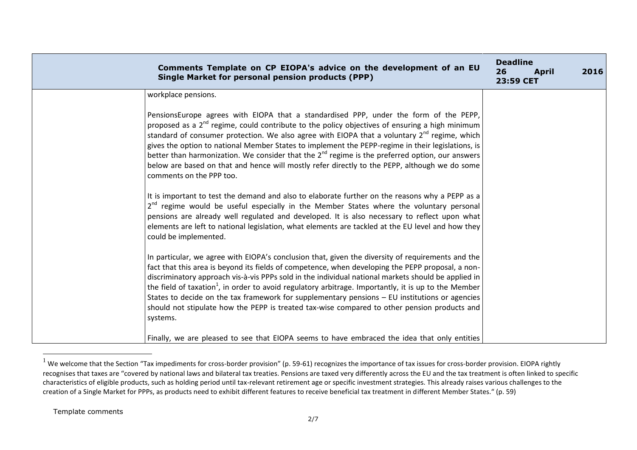| Comments Template on CP EIOPA's advice on the development of an EU<br>Single Market for personal pension products (PPP)                                                                                                                                                                                                                                                                                                                                                                                                                                                                                                                           | <b>Deadline</b><br>26<br><b>April</b><br>23:59 CET | 2016 |
|---------------------------------------------------------------------------------------------------------------------------------------------------------------------------------------------------------------------------------------------------------------------------------------------------------------------------------------------------------------------------------------------------------------------------------------------------------------------------------------------------------------------------------------------------------------------------------------------------------------------------------------------------|----------------------------------------------------|------|
| workplace pensions.                                                                                                                                                                                                                                                                                                                                                                                                                                                                                                                                                                                                                               |                                                    |      |
| PensionsEurope agrees with EIOPA that a standardised PPP, under the form of the PEPP,<br>proposed as a $2^{nd}$ regime, could contribute to the policy objectives of ensuring a high minimum<br>standard of consumer protection. We also agree with EIOPA that a voluntary $2^{nd}$ regime, which<br>gives the option to national Member States to implement the PEPP-regime in their legislations, is<br>better than harmonization. We consider that the $2^{nd}$ regime is the preferred option, our answers<br>below are based on that and hence will mostly refer directly to the PEPP, although we do some<br>comments on the PPP too.       |                                                    |      |
| It is important to test the demand and also to elaborate further on the reasons why a PEPP as a<br>2 <sup>nd</sup> regime would be useful especially in the Member States where the voluntary personal<br>pensions are already well regulated and developed. It is also necessary to reflect upon what<br>elements are left to national legislation, what elements are tackled at the EU level and how they<br>could be implemented.                                                                                                                                                                                                              |                                                    |      |
| In particular, we agree with EIOPA's conclusion that, given the diversity of requirements and the<br>fact that this area is beyond its fields of competence, when developing the PEPP proposal, a non-<br>discriminatory approach vis-à-vis PPPs sold in the individual national markets should be applied in<br>the field of taxation <sup>1</sup> , in order to avoid regulatory arbitrage. Importantly, it is up to the Member<br>States to decide on the tax framework for supplementary pensions $-$ EU institutions or agencies<br>should not stipulate how the PEPP is treated tax-wise compared to other pension products and<br>systems. |                                                    |      |
| Finally, we are pleased to see that EIOPA seems to have embraced the idea that only entities                                                                                                                                                                                                                                                                                                                                                                                                                                                                                                                                                      |                                                    |      |

 $^1$  We welcome that the Section "Tax impediments for cross-border provision" (p. 59-61) recognizes the importance of tax issues for cross-border provision. EIOPA rightly recognises that taxes are "covered by national laws and bilateral tax treaties. Pensions are taxed very differently across the EU and the tax treatment is often linked to specific characteristics of eligible products, such as holding period until tax-relevant retirement age or specific investment strategies. This already raises various challenges to the creation of a Single Market for PPPs, as products need to exhibit different features to receive beneficial tax treatment in different Member States." (p. 59)

Template comments

 $\overline{a}$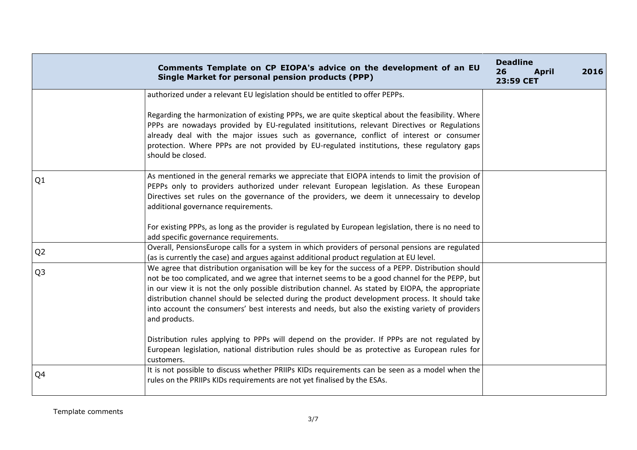|                | Comments Template on CP EIOPA's advice on the development of an EU<br>Single Market for personal pension products (PPP)                                                                                                                                                                                                                                                                                                                                                                                                           | <b>Deadline</b><br>26<br><b>April</b><br>23:59 CET | 2016 |
|----------------|-----------------------------------------------------------------------------------------------------------------------------------------------------------------------------------------------------------------------------------------------------------------------------------------------------------------------------------------------------------------------------------------------------------------------------------------------------------------------------------------------------------------------------------|----------------------------------------------------|------|
|                | authorized under a relevant EU legislation should be entitled to offer PEPPs.<br>Regarding the harmonization of existing PPPs, we are quite skeptical about the feasibility. Where                                                                                                                                                                                                                                                                                                                                                |                                                    |      |
|                | PPPs are nowadays provided by EU-regulated insititutions, relevant Directives or Regulations<br>already deal with the major issues such as governance, conflict of interest or consumer<br>protection. Where PPPs are not provided by EU-regulated institutions, these regulatory gaps<br>should be closed.                                                                                                                                                                                                                       |                                                    |      |
| Q1             | As mentioned in the general remarks we appreciate that EIOPA intends to limit the provision of<br>PEPPs only to providers authorized under relevant European legislation. As these European<br>Directives set rules on the governance of the providers, we deem it unnecessairy to develop<br>additional governance requirements.                                                                                                                                                                                                 |                                                    |      |
|                | For existing PPPs, as long as the provider is regulated by European legislation, there is no need to<br>add specific governance requirements.                                                                                                                                                                                                                                                                                                                                                                                     |                                                    |      |
| Q <sub>2</sub> | Overall, PensionsEurope calls for a system in which providers of personal pensions are regulated<br>(as is currently the case) and argues against additional product regulation at EU level.                                                                                                                                                                                                                                                                                                                                      |                                                    |      |
| Q <sub>3</sub> | We agree that distribution organisation will be key for the success of a PEPP. Distribution should<br>not be too complicated, and we agree that internet seems to be a good channel for the PEPP, but<br>in our view it is not the only possible distribution channel. As stated by EIOPA, the appropriate<br>distribution channel should be selected during the product development process. It should take<br>into account the consumers' best interests and needs, but also the existing variety of providers<br>and products. |                                                    |      |
|                | Distribution rules applying to PPPs will depend on the provider. If PPPs are not regulated by<br>European legislation, national distribution rules should be as protective as European rules for<br>customers.                                                                                                                                                                                                                                                                                                                    |                                                    |      |
| Q4             | It is not possible to discuss whether PRIIPs KIDs requirements can be seen as a model when the<br>rules on the PRIIPs KIDs requirements are not yet finalised by the ESAs.                                                                                                                                                                                                                                                                                                                                                        |                                                    |      |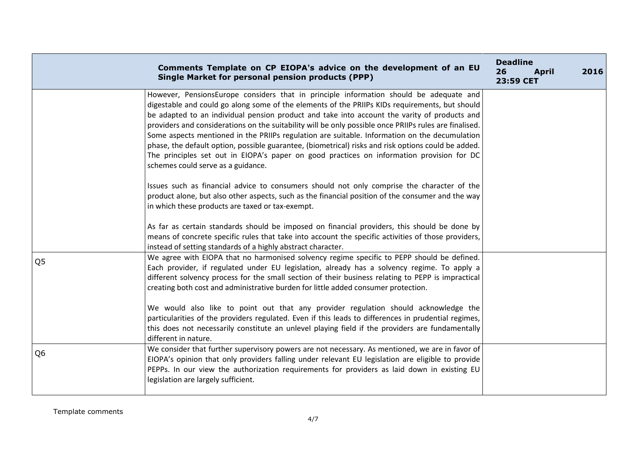|                | Comments Template on CP EIOPA's advice on the development of an EU<br><b>Single Market for personal pension products (PPP)</b>                                                                                                                                                                                                                                                                                                                                                                                                                                                                                                                                                                                                                | <b>Deadline</b><br>26<br><b>April</b><br>23:59 CET | 2016 |
|----------------|-----------------------------------------------------------------------------------------------------------------------------------------------------------------------------------------------------------------------------------------------------------------------------------------------------------------------------------------------------------------------------------------------------------------------------------------------------------------------------------------------------------------------------------------------------------------------------------------------------------------------------------------------------------------------------------------------------------------------------------------------|----------------------------------------------------|------|
|                | However, PensionsEurope considers that in principle information should be adequate and<br>digestable and could go along some of the elements of the PRIIPs KIDs requirements, but should<br>be adapted to an individual pension product and take into account the varity of products and<br>providers and considerations on the suitability will be only possible once PRIIPs rules are finalised.<br>Some aspects mentioned in the PRIIPs regulation are suitable. Information on the decumulation<br>phase, the default option, possible guarantee, (biometrical) risks and risk options could be added.<br>The principles set out in EIOPA's paper on good practices on information provision for DC<br>schemes could serve as a guidance. |                                                    |      |
|                | Issues such as financial advice to consumers should not only comprise the character of the<br>product alone, but also other aspects, such as the financial position of the consumer and the way<br>in which these products are taxed or tax-exempt.<br>As far as certain standards should be imposed on financial providers, this should be done by<br>means of concrete specific rules that take into account the specific activities of those providers,<br>instead of setting standards of a highly abstract character.                                                                                                                                                                                                                    |                                                    |      |
| Q <sub>5</sub> | We agree with EIOPA that no harmonised solvency regime specific to PEPP should be defined.<br>Each provider, if regulated under EU legislation, already has a solvency regime. To apply a<br>different solvency process for the small section of their business relating to PEPP is impractical<br>creating both cost and administrative burden for little added consumer protection.<br>We would also like to point out that any provider regulation should acknowledge the<br>particularities of the providers regulated. Even if this leads to differences in prudential regimes,<br>this does not necessarily constitute an unlevel playing field if the providers are fundamentally<br>different in nature.                              |                                                    |      |
| Q <sub>6</sub> | We consider that further supervisory powers are not necessary. As mentioned, we are in favor of<br>EIOPA's opinion that only providers falling under relevant EU legislation are eligible to provide<br>PEPPs. In our view the authorization requirements for providers as laid down in existing EU<br>legislation are largely sufficient.                                                                                                                                                                                                                                                                                                                                                                                                    |                                                    |      |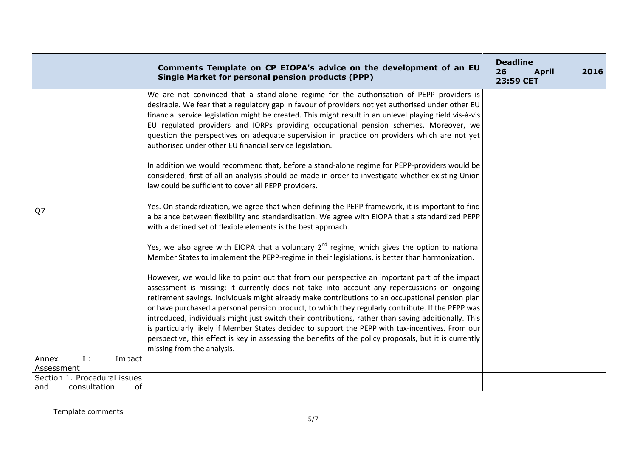|                                                           | Comments Template on CP EIOPA's advice on the development of an EU<br><b>Single Market for personal pension products (PPP)</b>                                                                                                                                                                                                                                                                                                                                                                                                                                                                                                                                                                                                                             | <b>Deadline</b><br>26<br><b>April</b><br>23:59 CET | 2016 |
|-----------------------------------------------------------|------------------------------------------------------------------------------------------------------------------------------------------------------------------------------------------------------------------------------------------------------------------------------------------------------------------------------------------------------------------------------------------------------------------------------------------------------------------------------------------------------------------------------------------------------------------------------------------------------------------------------------------------------------------------------------------------------------------------------------------------------------|----------------------------------------------------|------|
|                                                           | We are not convinced that a stand-alone regime for the authorisation of PEPP providers is<br>desirable. We fear that a regulatory gap in favour of providers not yet authorised under other EU<br>financial service legislation might be created. This might result in an unlevel playing field vis-à-vis<br>EU regulated providers and IORPs providing occupational pension schemes. Moreover, we<br>question the perspectives on adequate supervision in practice on providers which are not yet<br>authorised under other EU financial service legislation.                                                                                                                                                                                             |                                                    |      |
|                                                           | In addition we would recommend that, before a stand-alone regime for PEPP-providers would be<br>considered, first of all an analysis should be made in order to investigate whether existing Union<br>law could be sufficient to cover all PEPP providers.                                                                                                                                                                                                                                                                                                                                                                                                                                                                                                 |                                                    |      |
| Q7                                                        | Yes. On standardization, we agree that when defining the PEPP framework, it is important to find<br>a balance between flexibility and standardisation. We agree with EIOPA that a standardized PEPP<br>with a defined set of flexible elements is the best approach.                                                                                                                                                                                                                                                                                                                                                                                                                                                                                       |                                                    |      |
|                                                           | Yes, we also agree with EIOPA that a voluntary $2^{nd}$ regime, which gives the option to national<br>Member States to implement the PEPP-regime in their legislations, is better than harmonization.                                                                                                                                                                                                                                                                                                                                                                                                                                                                                                                                                      |                                                    |      |
|                                                           | However, we would like to point out that from our perspective an important part of the impact<br>assessment is missing: it currently does not take into account any repercussions on ongoing<br>retirement savings. Individuals might already make contributions to an occupational pension plan<br>or have purchased a personal pension product, to which they regularly contribute. If the PEPP was<br>introduced, individuals might just switch their contributions, rather than saving additionally. This<br>is particularly likely if Member States decided to support the PEPP with tax-incentives. From our<br>perspective, this effect is key in assessing the benefits of the policy proposals, but it is currently<br>missing from the analysis. |                                                    |      |
| $I$ :<br>Annex<br>Impact<br>Assessment                    |                                                                                                                                                                                                                                                                                                                                                                                                                                                                                                                                                                                                                                                                                                                                                            |                                                    |      |
| Section 1. Procedural issues<br>consultation<br>of<br>and |                                                                                                                                                                                                                                                                                                                                                                                                                                                                                                                                                                                                                                                                                                                                                            |                                                    |      |
|                                                           |                                                                                                                                                                                                                                                                                                                                                                                                                                                                                                                                                                                                                                                                                                                                                            |                                                    |      |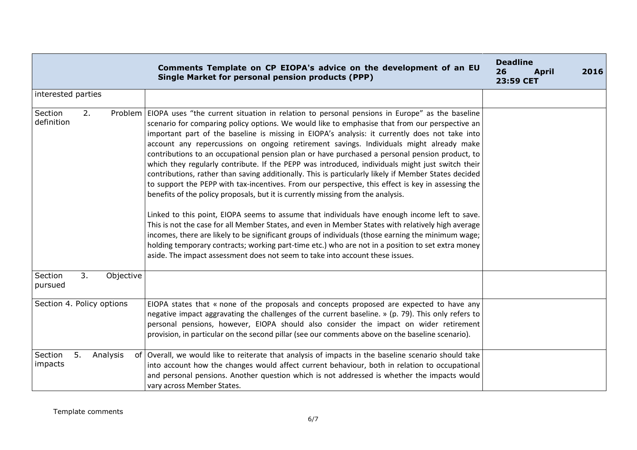|                           |    |           | Comments Template on CP EIOPA's advice on the development of an EU<br><b>Single Market for personal pension products (PPP)</b>                                                                                                                                                                                                                                                                                                                                                                                                                                                                                                                                                                                                                                                                                                                                                                                                                                                                                                                                                                                                                                                                                                                                                                                                                                                                                    | <b>Deadline</b><br>26<br><b>April</b><br>23:59 CET | 2016 |
|---------------------------|----|-----------|-------------------------------------------------------------------------------------------------------------------------------------------------------------------------------------------------------------------------------------------------------------------------------------------------------------------------------------------------------------------------------------------------------------------------------------------------------------------------------------------------------------------------------------------------------------------------------------------------------------------------------------------------------------------------------------------------------------------------------------------------------------------------------------------------------------------------------------------------------------------------------------------------------------------------------------------------------------------------------------------------------------------------------------------------------------------------------------------------------------------------------------------------------------------------------------------------------------------------------------------------------------------------------------------------------------------------------------------------------------------------------------------------------------------|----------------------------------------------------|------|
| interested parties        |    |           |                                                                                                                                                                                                                                                                                                                                                                                                                                                                                                                                                                                                                                                                                                                                                                                                                                                                                                                                                                                                                                                                                                                                                                                                                                                                                                                                                                                                                   |                                                    |      |
| Section<br>definition     | 2. |           | Problem   EIOPA uses "the current situation in relation to personal pensions in Europe" as the baseline<br>scenario for comparing policy options. We would like to emphasise that from our perspective an<br>important part of the baseline is missing in EIOPA's analysis: it currently does not take into<br>account any repercussions on ongoing retirement savings. Individuals might already make<br>contributions to an occupational pension plan or have purchased a personal pension product, to<br>which they regularly contribute. If the PEPP was introduced, individuals might just switch their<br>contributions, rather than saving additionally. This is particularly likely if Member States decided<br>to support the PEPP with tax-incentives. From our perspective, this effect is key in assessing the<br>benefits of the policy proposals, but it is currently missing from the analysis.<br>Linked to this point, EIOPA seems to assume that individuals have enough income left to save.<br>This is not the case for all Member States, and even in Member States with relatively high average<br>incomes, there are likely to be significant groups of individuals (those earning the minimum wage;<br>holding temporary contracts; working part-time etc.) who are not in a position to set extra money<br>aside. The impact assessment does not seem to take into account these issues. |                                                    |      |
| Section<br>pursued        | 3. | Objective |                                                                                                                                                                                                                                                                                                                                                                                                                                                                                                                                                                                                                                                                                                                                                                                                                                                                                                                                                                                                                                                                                                                                                                                                                                                                                                                                                                                                                   |                                                    |      |
| Section 4. Policy options |    |           | EIOPA states that « none of the proposals and concepts proposed are expected to have any<br>negative impact aggravating the challenges of the current baseline. » (p. 79). This only refers to<br>personal pensions, however, EIOPA should also consider the impact on wider retirement<br>provision, in particular on the second pillar (see our comments above on the baseline scenario).                                                                                                                                                                                                                                                                                                                                                                                                                                                                                                                                                                                                                                                                                                                                                                                                                                                                                                                                                                                                                       |                                                    |      |
| Section<br>impacts        | 5. | Analysis  | of Overall, we would like to reiterate that analysis of impacts in the baseline scenario should take<br>into account how the changes would affect current behaviour, both in relation to occupational<br>and personal pensions. Another question which is not addressed is whether the impacts would<br>vary across Member States.                                                                                                                                                                                                                                                                                                                                                                                                                                                                                                                                                                                                                                                                                                                                                                                                                                                                                                                                                                                                                                                                                |                                                    |      |